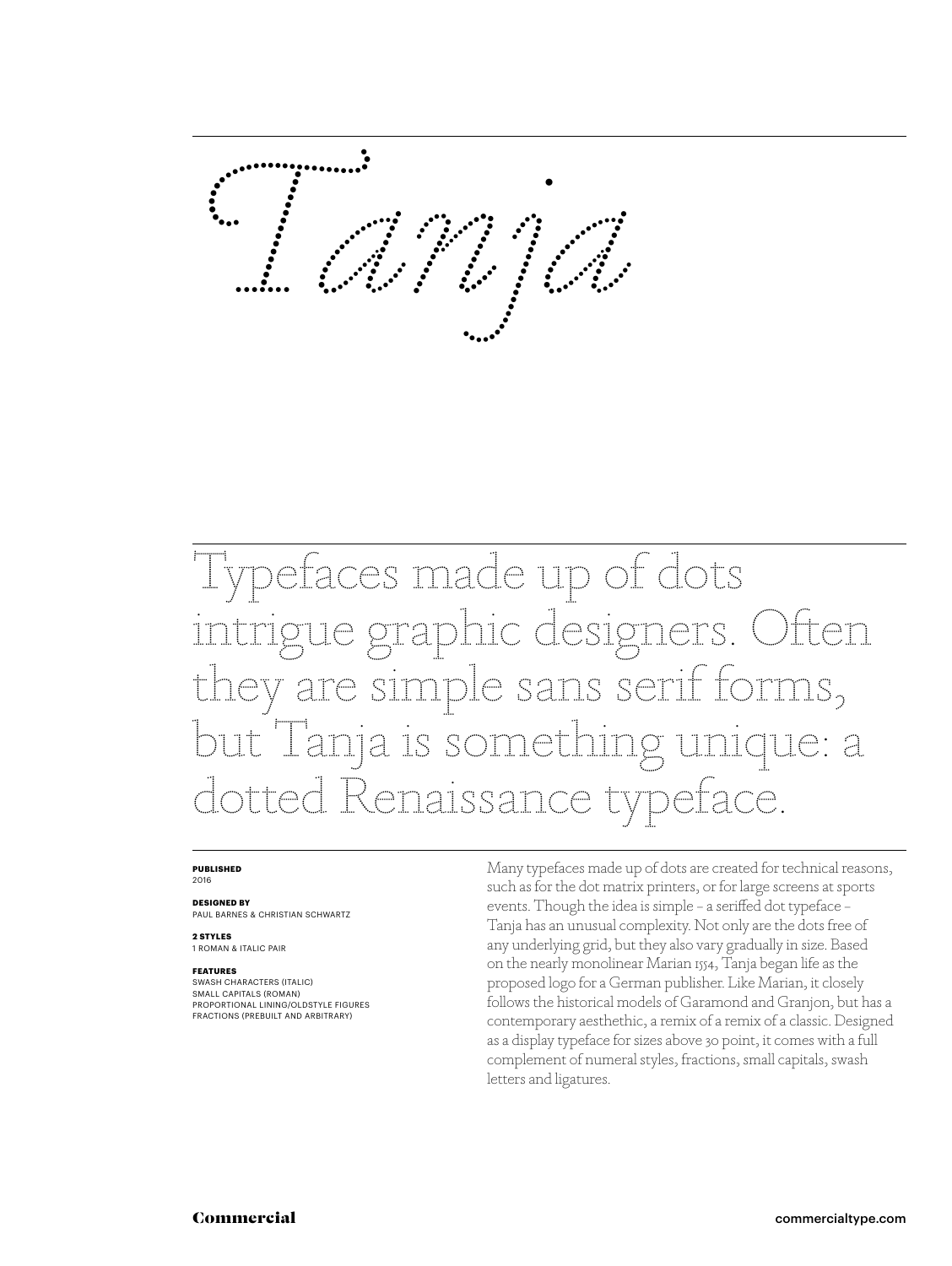*�anja*

Typefaces made up of dots gue graphic designers. Often hey are simple sans serif forms, but Tanja is something unique: a dotted Renaissance typeface.

#### **PUBLISHED** 2016

**DESIGNED BY** PAUL BARNES & CHRISTIAN SCHWARTZ

**2 STYLES**

1 ROMAN & ITALIC PAIR

### **FEATURES**

SWASH CHARACTERS (ITALIC) SMALL CAPITALS (ROMAN) PROPORTIONAL LINING/OLDSTYLE FIGURES FRACTIONS (PREBUILT AND ARBITRARY)

Many typefaces made up of dots are created for technical reasons, such as for the dot matrix printers, or for large screens at sports events. Though the idea is simple – a seriffed dot typeface – Tanja has an unusual complexity. Not only are the dots free of any underlying grid, but they also vary gradually in size. Based on the nearly monolinear Marian 1554, Tanja began life as the proposed logo for a German publisher. Like Marian, it closely follows the historical models of Garamond and Granjon, but has a contemporary aesthethic, a remix of a remix of a classic. Designed as a display typeface for sizes above 30 point, it comes with a full complement of numeral styles, fractions, small capitals, swash letters and ligatures.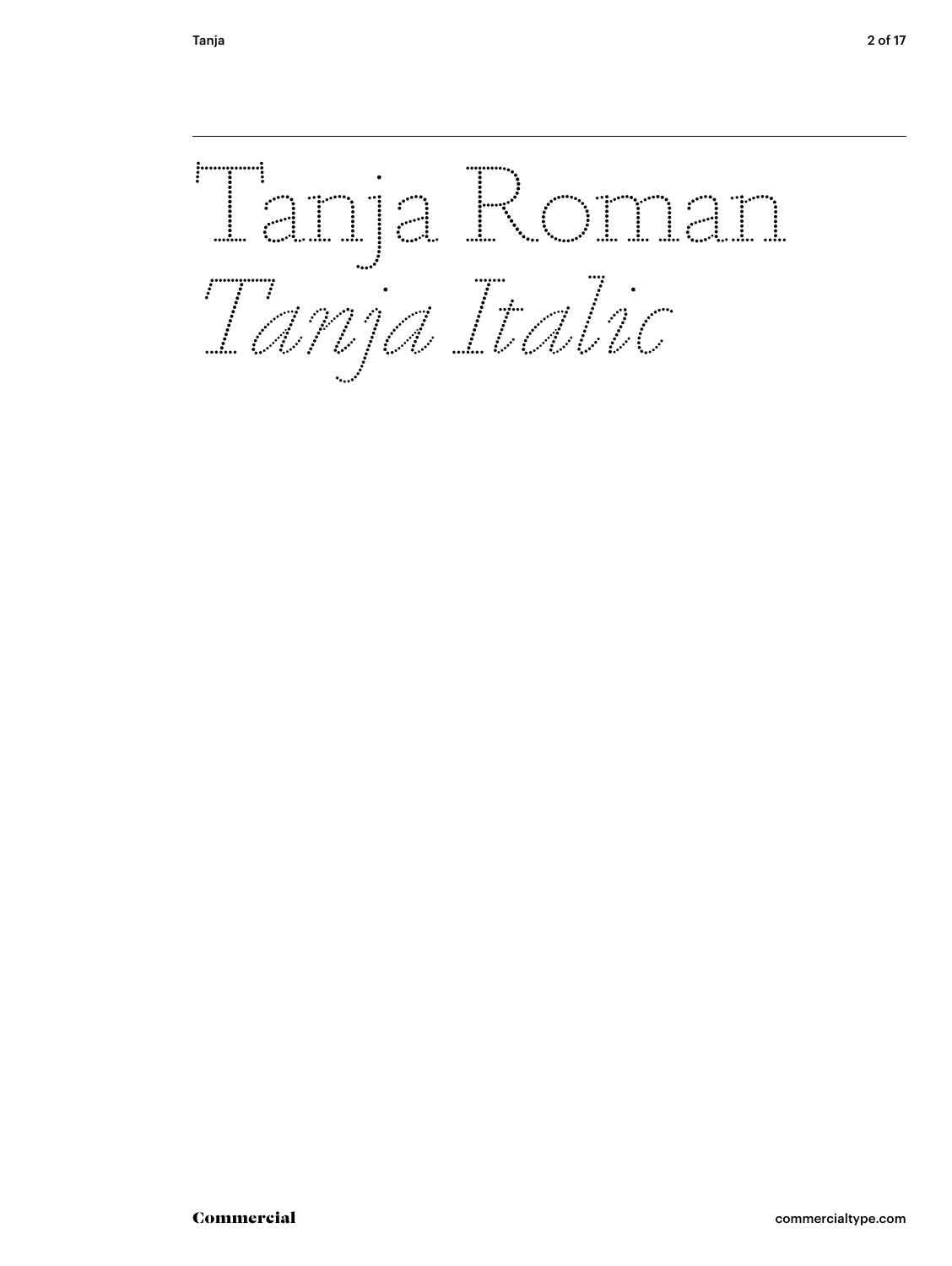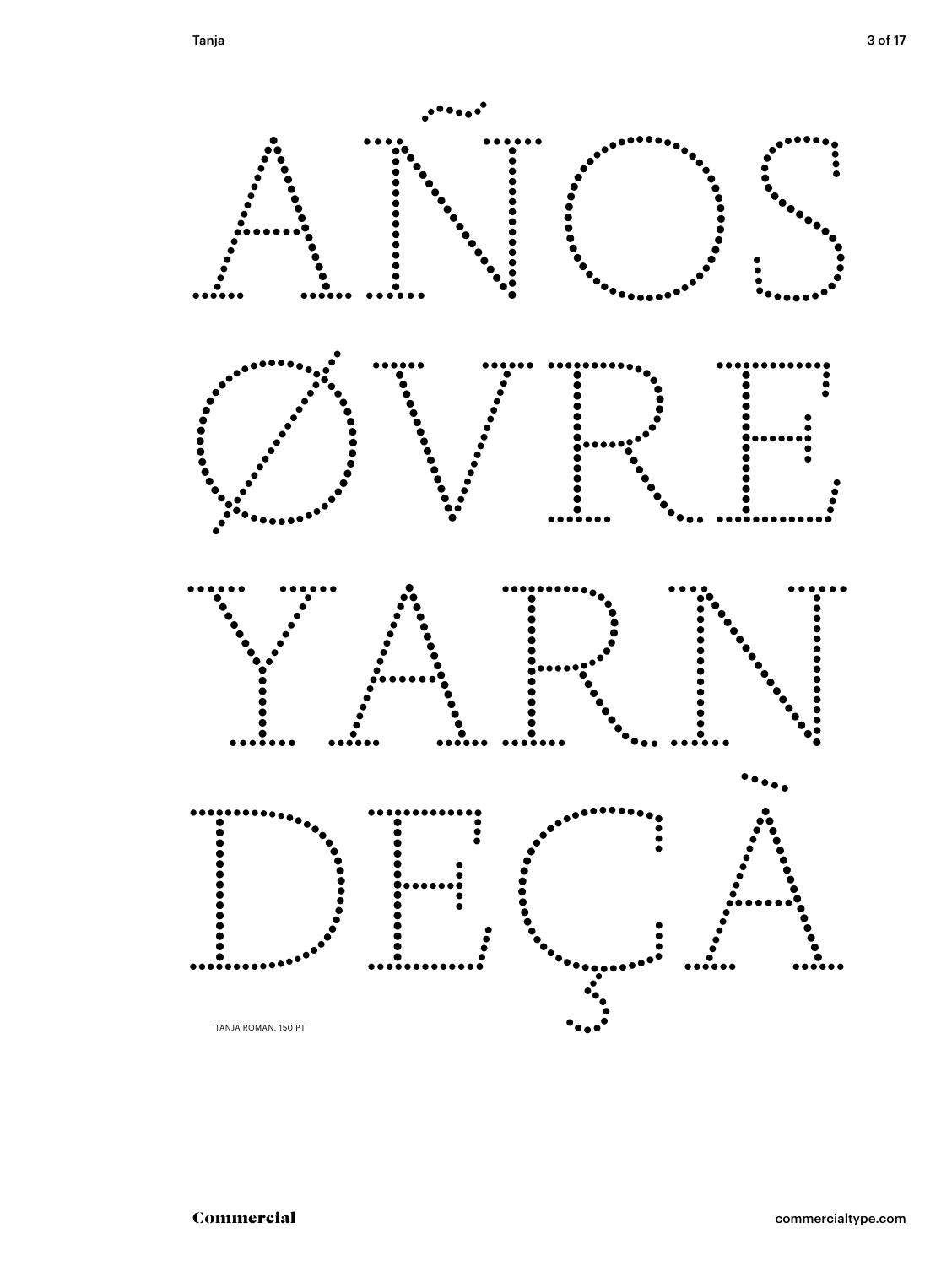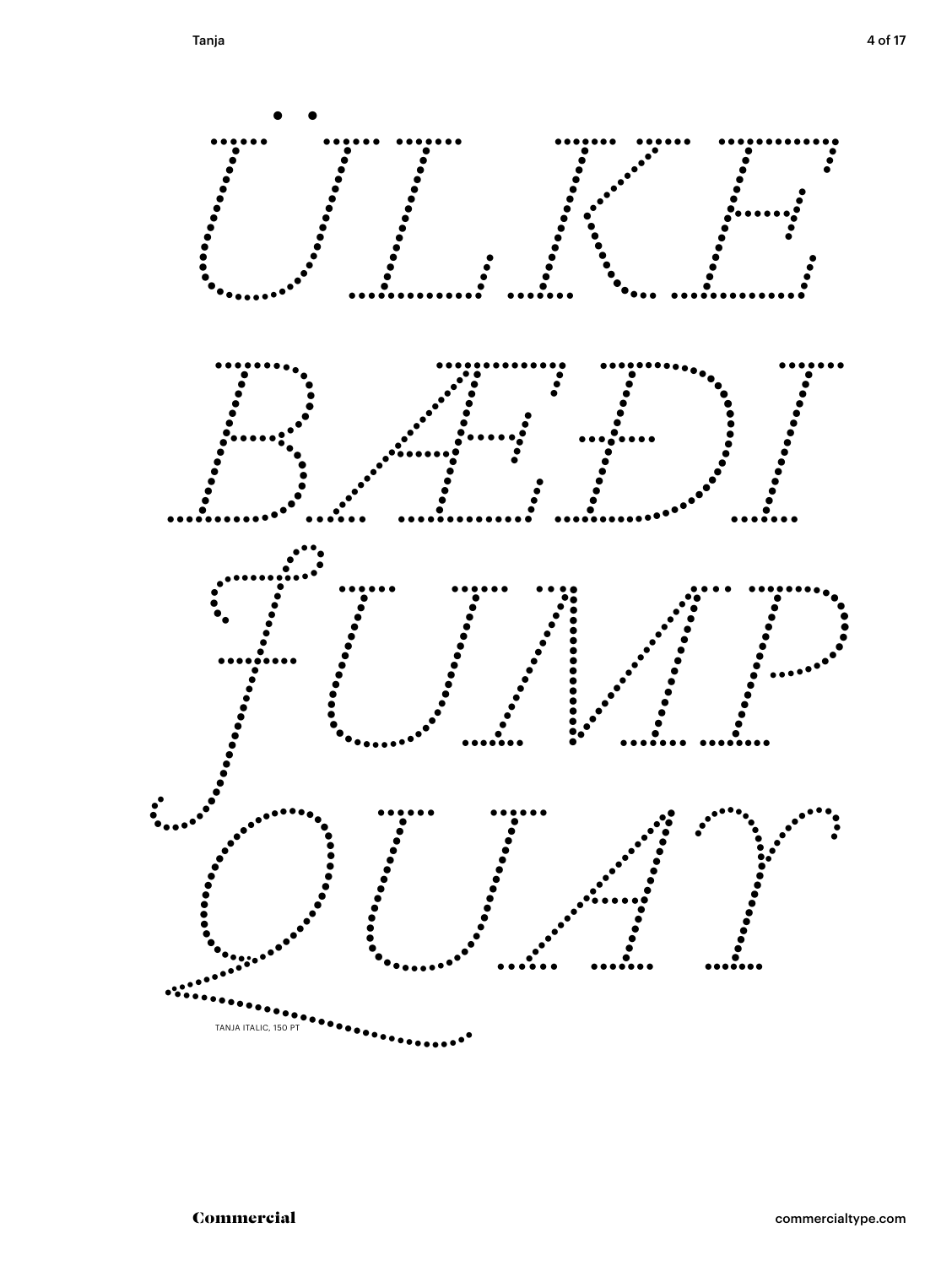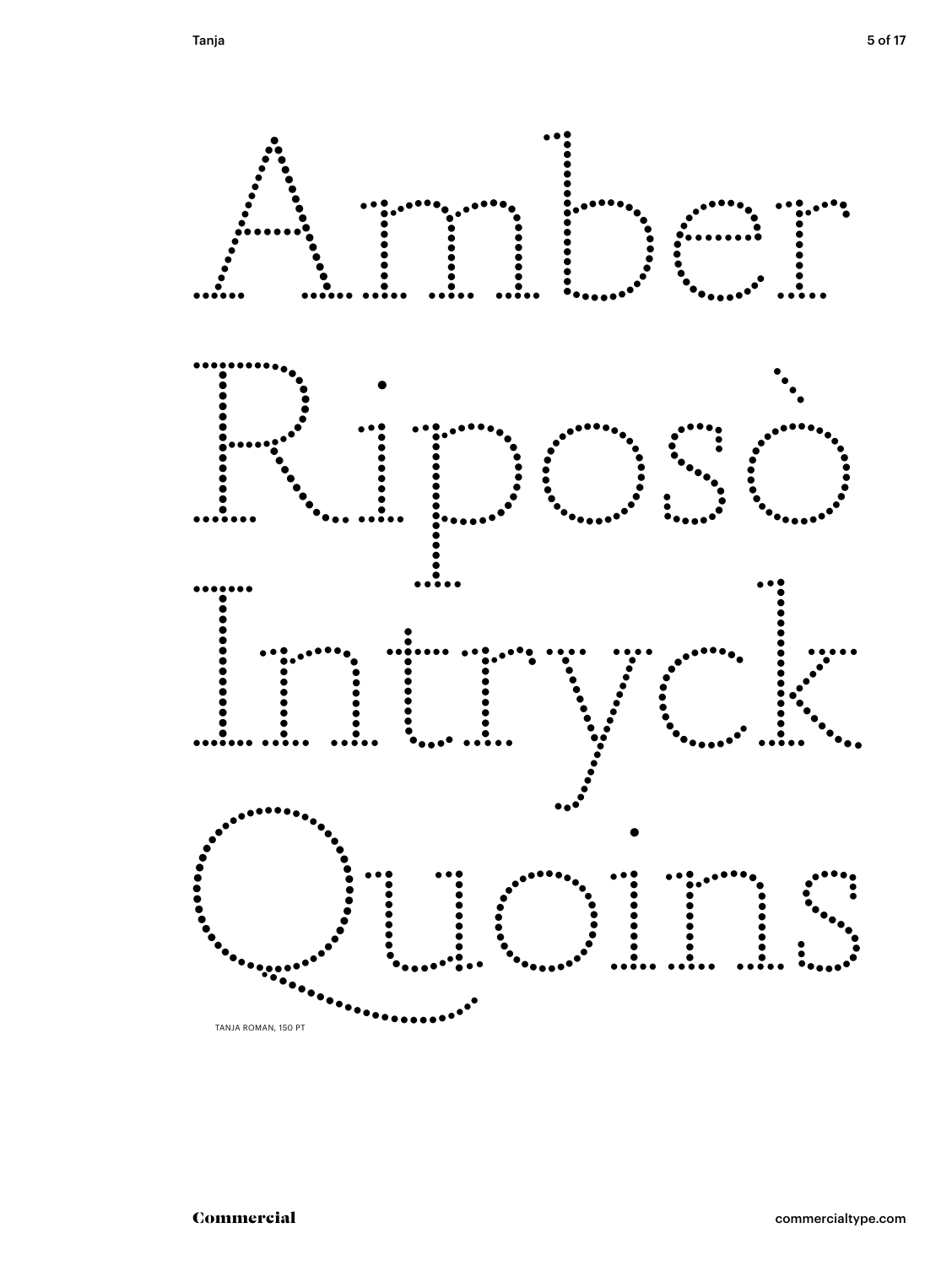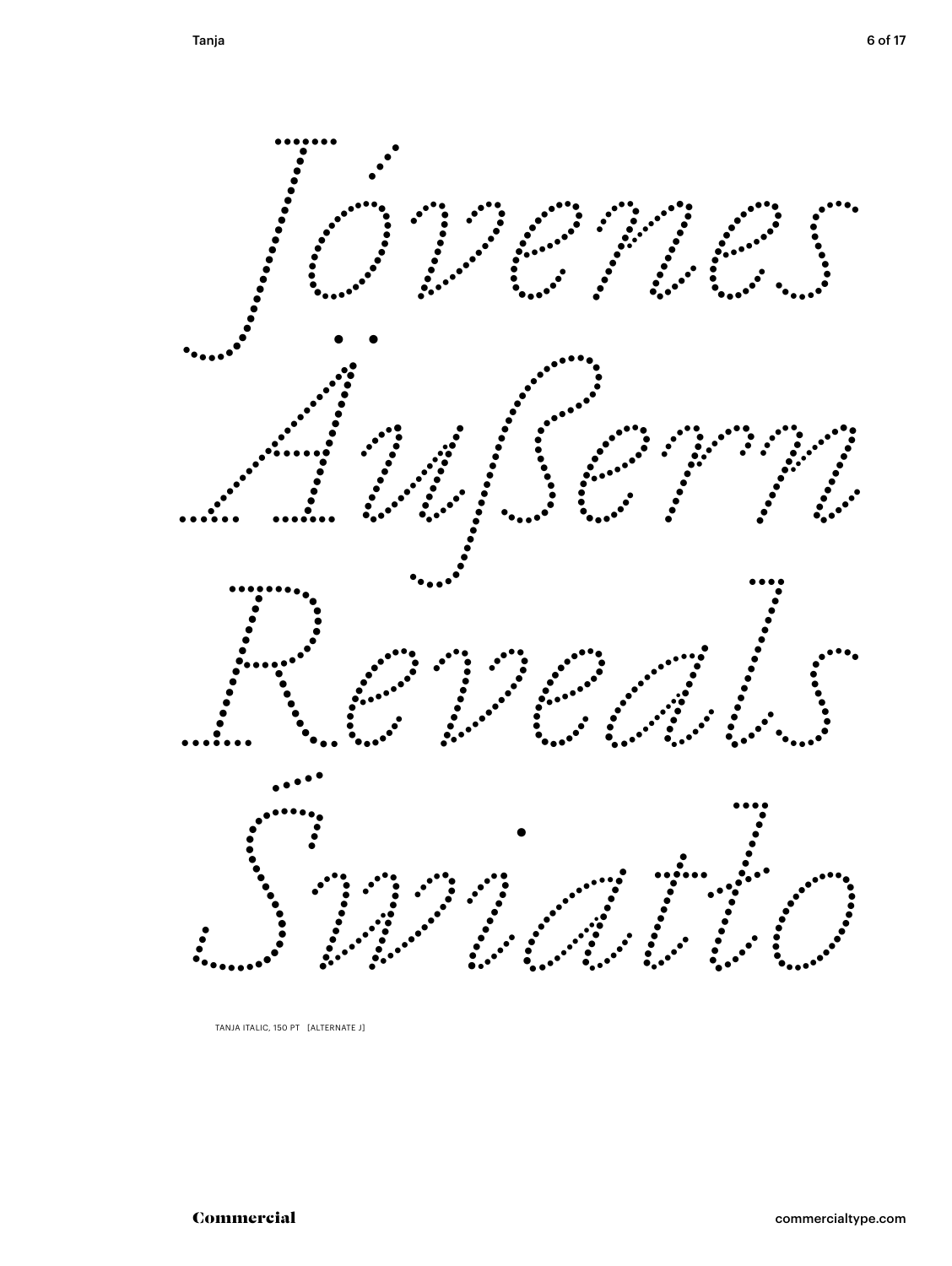

TANJA ITALIC, 150 PT [ALTERNATE J]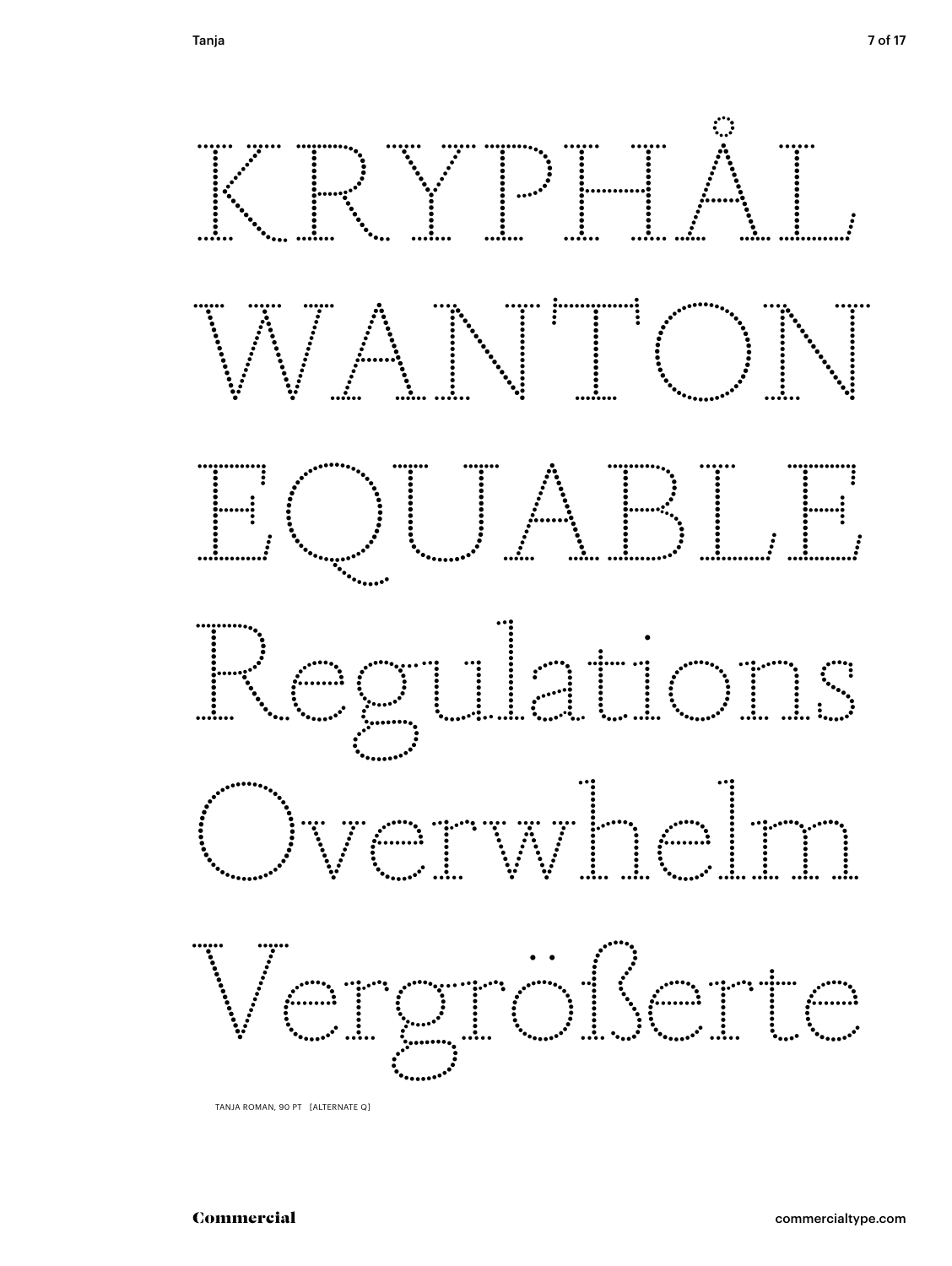

TANJA ROMAN, 90 PT [ALTERNATE Q]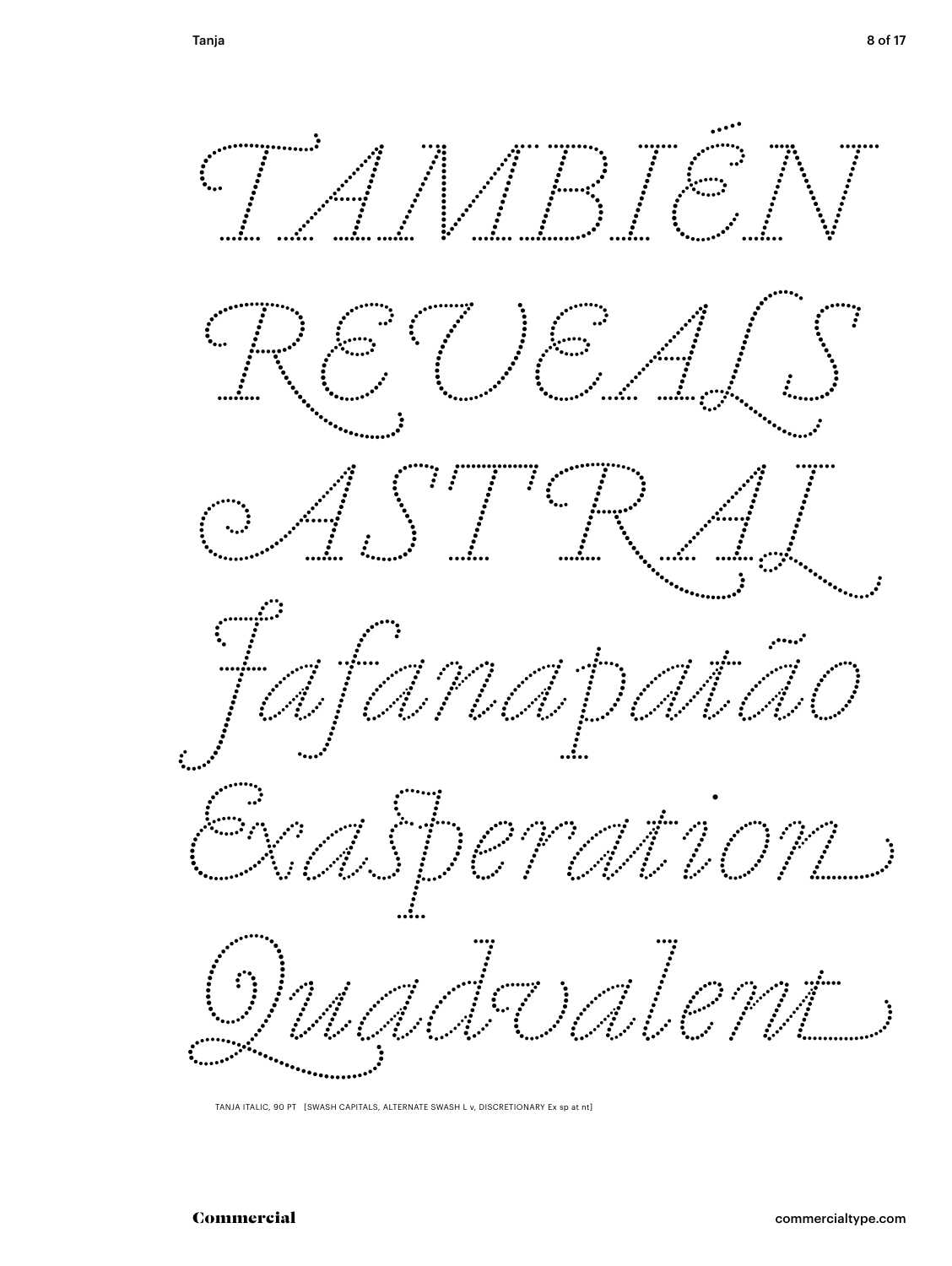

TANJA ITALIC, 90 PT [SWASH CAPITALS, ALTERNATE SWASH L v, DISCRETIONARY Ex sp at nt]

Commercial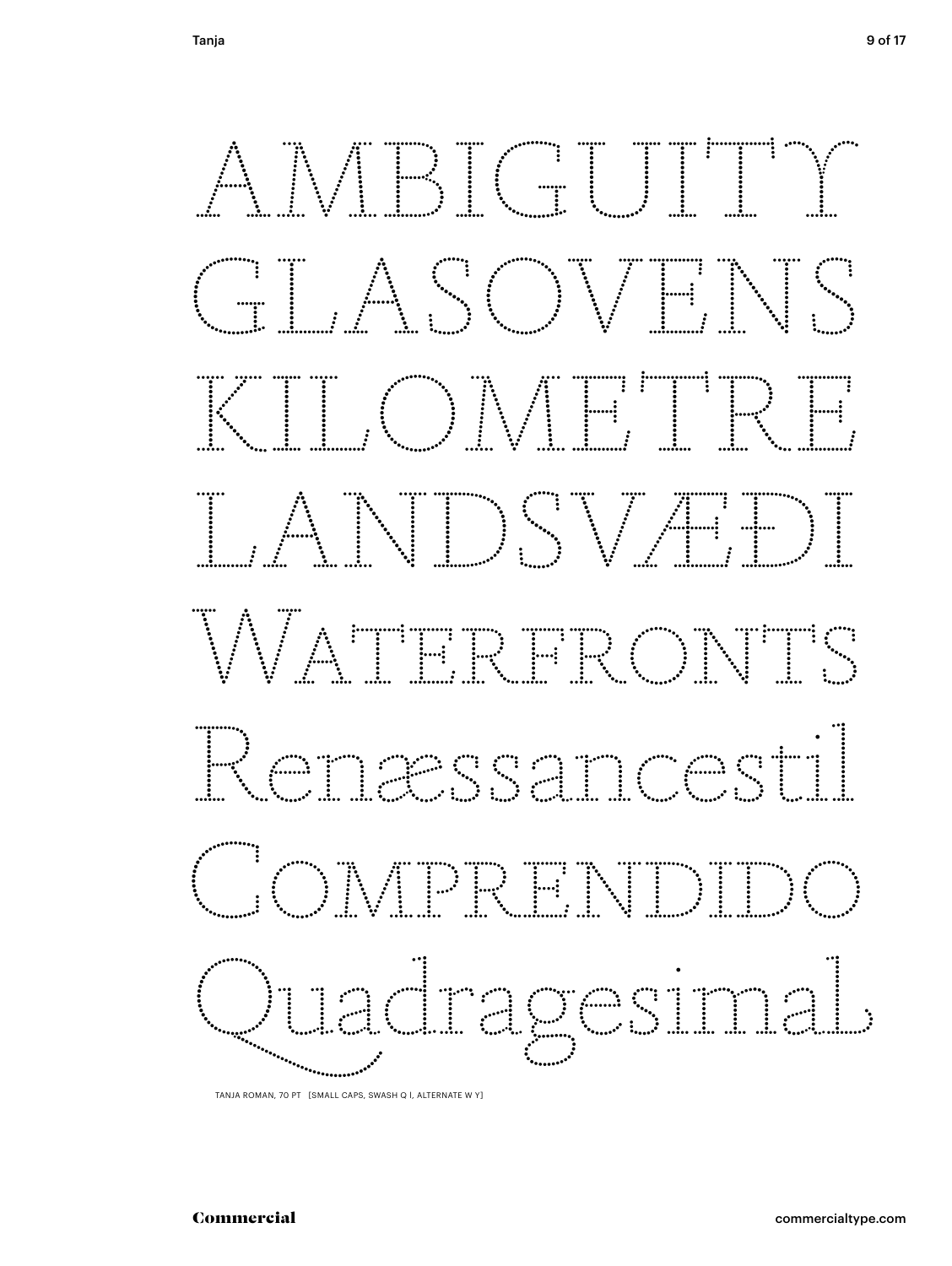

TANJA ROMAN, 70 PT [SMALL CAPS, SWASH Q I, ALTERNATE W Y]

### Commercial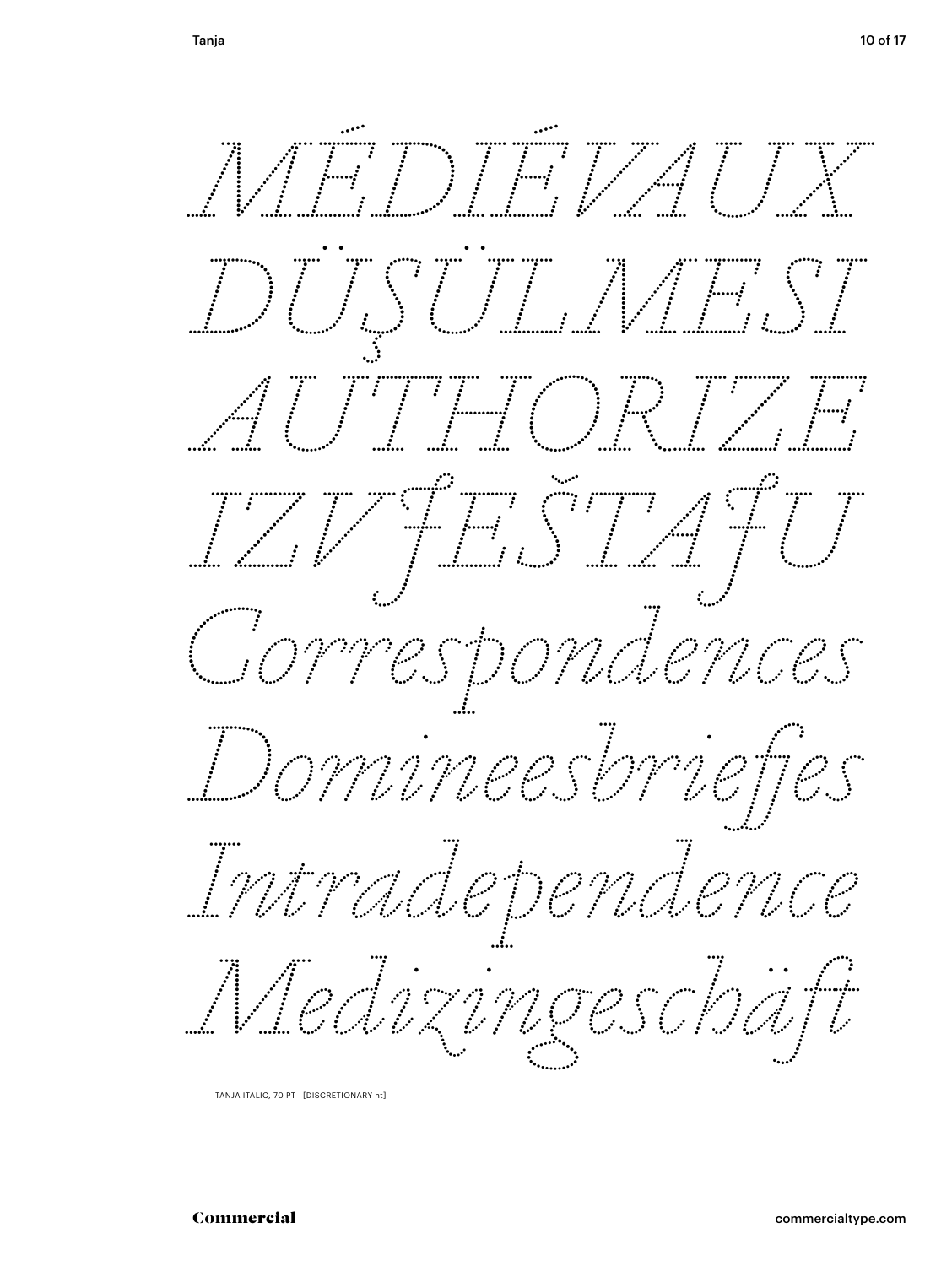

TANJA ITALIC, 70 PT [DISCRETIONARY nt]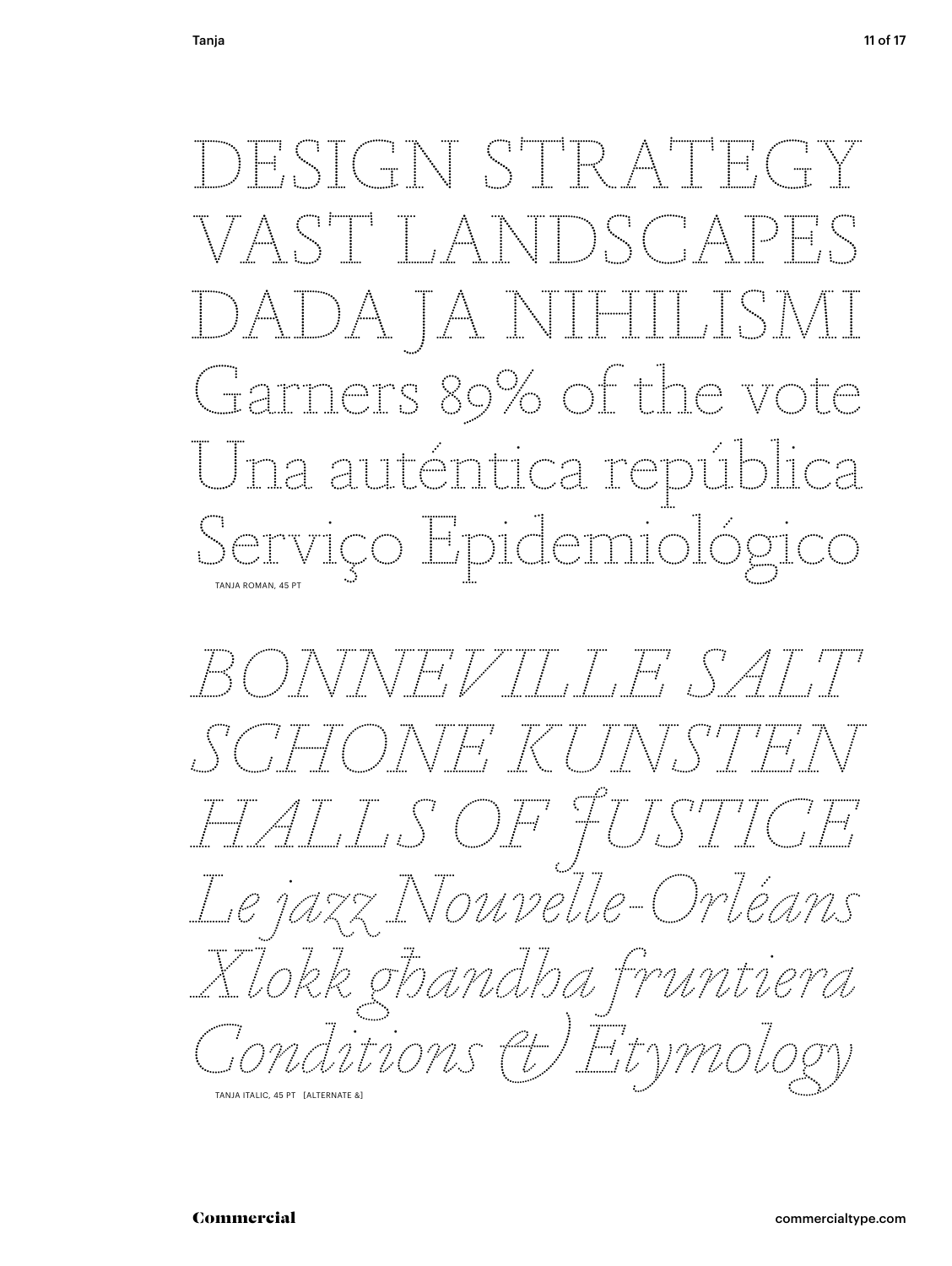DESIGN STRATEGY VAST LANDSGAPES DADA JA NIHILISMI Garners 89% of the vote <u>Una auténtica república</u> Serviço Epidemiológico

BONNEVILLE SALT FONE KUNJSTEJ HALS OF FUSTICE Le jazz Nouvelle-Orléans Xlokk ghandha fruntiera Gonditions & Etymology TANJA ITALIC, 45 PT [ALTERNATE &]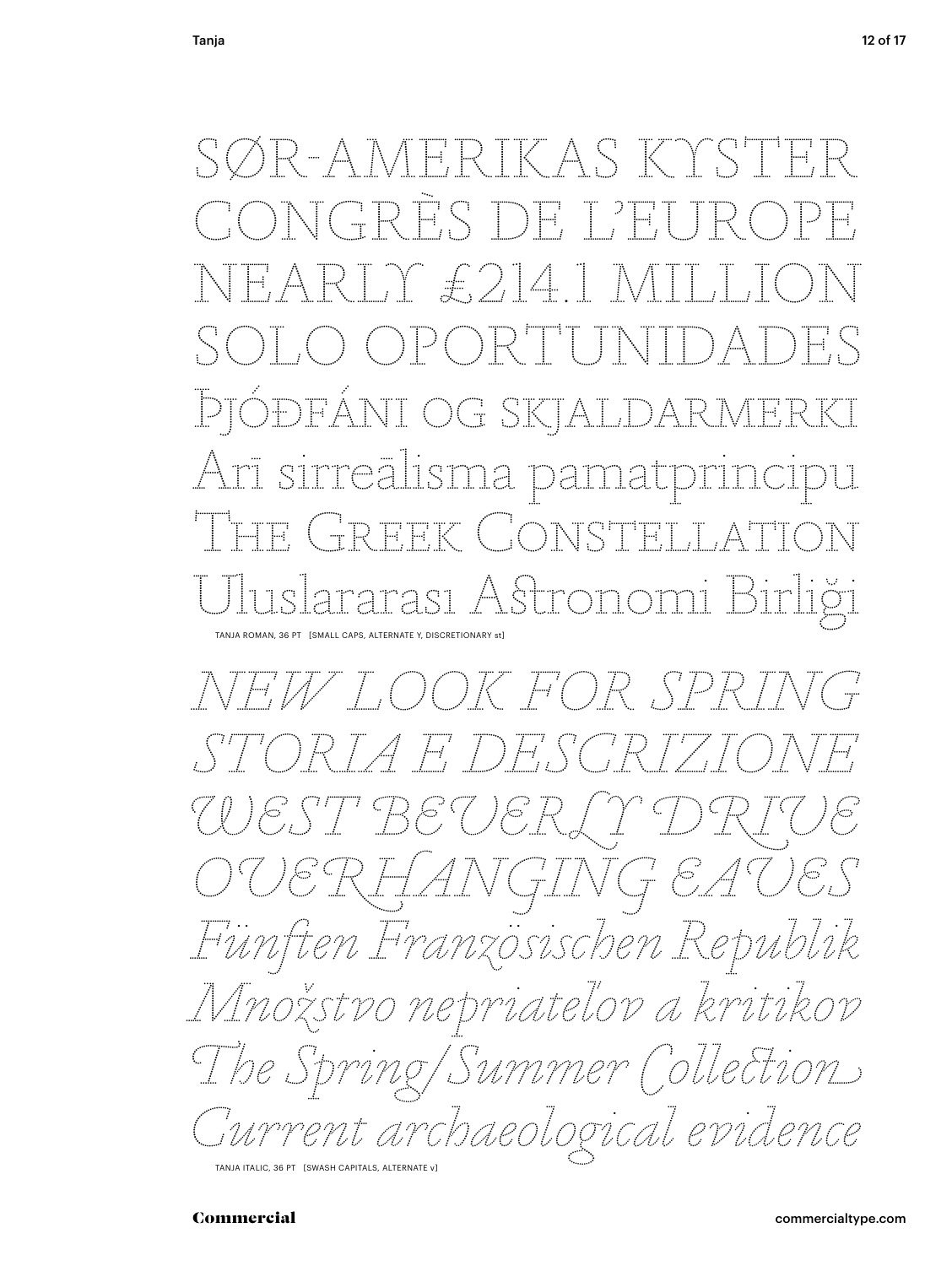TER IK AS KT RES DE L'E Y £2141 SOLO OPORTUNIDADES Þjóðfáni og skjalj Arī sirreālisma pamat t Greek Constella tarası Astrono TANJA ROMAN, 36 PT [SMALL CAPS, ALTERNATE Y, DISCRETIONARY st]

*NEW LOOK FOR SPRING STORIA E DESCRIZIONE WEST BEVERLY DRIVE OVERHANGING EAVES Fünften Französischen Republik Množstvo nepriateľov a kritikov The Spring / Summer Collection Current archaeological evidence*

TANJA ITALIC, 36 PT [SWASH CAPITALS, ALTERNATE v]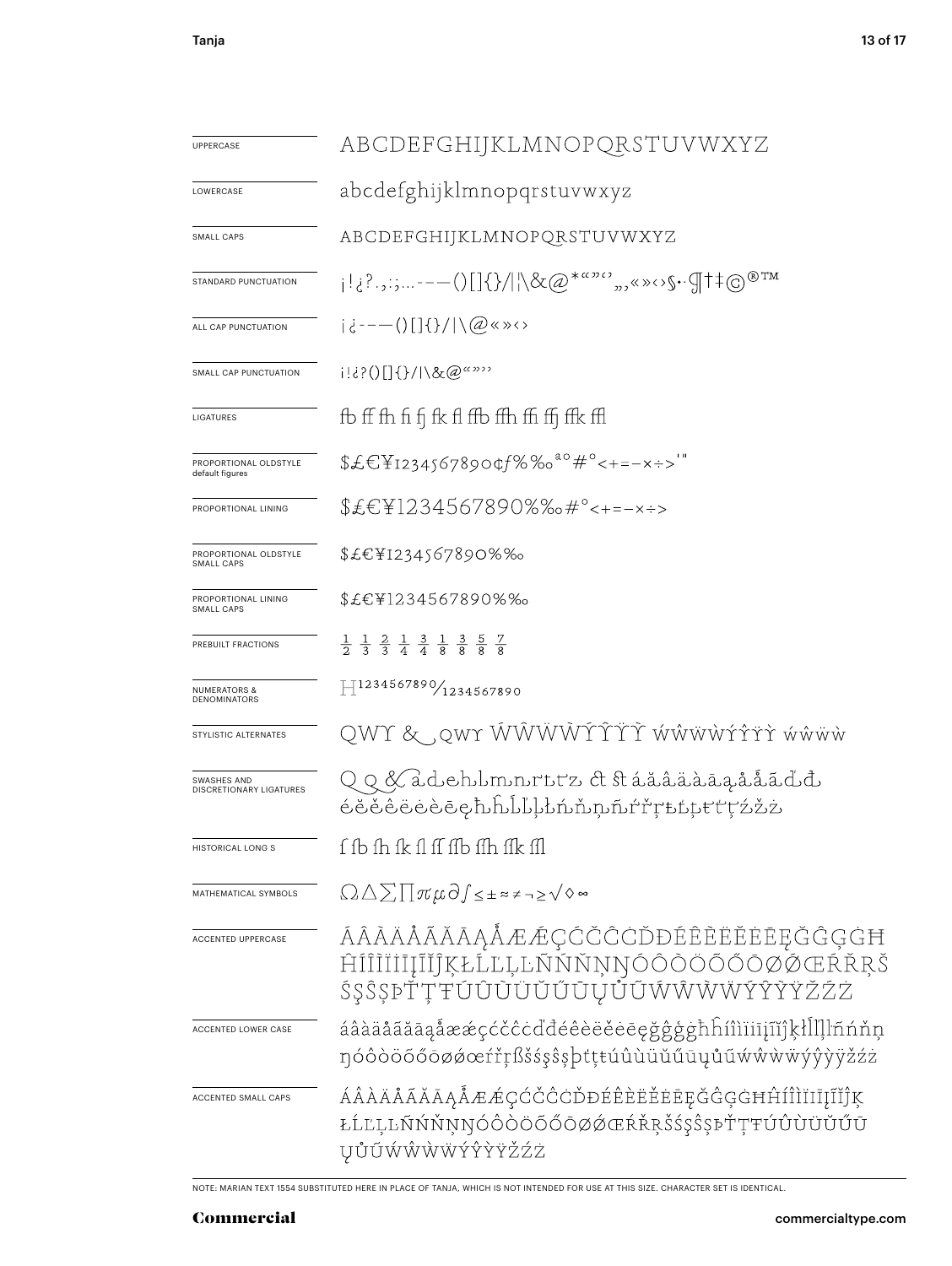| <b>UPPERCASE</b>                               | ABCDEFGHIJKLMNOPQRSTUVWXYZ                                                                                                              |  |  |
|------------------------------------------------|-----------------------------------------------------------------------------------------------------------------------------------------|--|--|
| LOWERCASE                                      | abcdefghijklmnopqrstuvwxyz                                                                                                              |  |  |
| SMALL CAPS                                     | ABCDEFGHIJKLMNOPQRSTUVWXYZ                                                                                                              |  |  |
| STANDARD PUNCTUATION                           | $ {\bf q} _{\{2^2,2^2,\ldots---(\}}[1\{\}\rangle  \backslash \&\mathcal{Q}^{*^{a\omega_0c}},\ldots,\mathcal{Q}^{*^{a\omega_1c}}\rangle$ |  |  |
| ALL CAP PUNCTUATION                            | $i \in -(-111)$ $(3 \times 0)$                                                                                                          |  |  |
| SMALL CAP PUNCTUATION                          | i!¿?()[]{}/ \&@"""                                                                                                                      |  |  |
| LIGATURES                                      | fb ff fh fi fi fk fl ffb ffh ffi ffj ffk ffl                                                                                            |  |  |
| PROPORTIONAL OLDSTYLE<br>default figures       | $f\in F_{12345678904}$ %% <sup>ao</sup> #°<+=-x÷>'"                                                                                     |  |  |
| PROPORTIONAL LINING                            | \$£€¥1234567890%‰#°<+=-×÷>                                                                                                              |  |  |
| PROPORTIONAL OLDSTYLE<br>SMALL CAPS            | \$£€¥I234567890%‰                                                                                                                       |  |  |
| PROPORTIONAL LINING<br>SMALL CAPS              | \$£€¥1234567890%‰                                                                                                                       |  |  |
| PREBUILT FRACTIONS                             | $\frac{1}{2}$ $\frac{1}{3}$ $\frac{2}{3}$ $\frac{1}{4}$ $\frac{3}{4}$ $\frac{1}{8}$ $\frac{3}{8}$ $\frac{5}{8}$ $\frac{7}{8}$           |  |  |
| <b>NUMERATORS &amp;</b><br><b>DENOMINATORS</b> | $\text{H}^{1234567890}\!/_{\text{1234567890}}$                                                                                          |  |  |
| STYLISTIC ALTERNATES                           | QWY & ,qwr ŴŴŴŴÝŶŤŤ ẃŵẅẁŕŕřř ẃŵẅѡ̀                                                                                                      |  |  |
| SWASHES AND<br>DISCRETIONARY LIGATURES         | <i></i> ۏŏŏêëėèēچþĥĥĺŀŀŀ'nňņñŕřŗѣtţŧťţźžż                                                                                               |  |  |
| HISTORICAL LONG S                              | f fb fh fk fl ff ffb ffh ffk ffl                                                                                                        |  |  |
| MATHEMATICAL SYMBOLS                           | $\Omega \Delta \sum \prod \pi \mu \partial \int \leq \pm \approx \pm \gamma \geq \sqrt{\diamond} \approx$                               |  |  |
| ACCENTED UPPERCASE                             | ÁÂÀÄÅÃĂĀĄÅÆÆÇĆČĈCĎĐÉÊÈËËEĒĘĞĜĢGĦ<br>ĤÍÎĨĨĬĬĨĮĨĬĴĶŁĹĽĻĿÑŃŇŅŊÓÔŎÖŎŐŎØŔŔŖŠ<br>ŚŞŜŞÞŤŢŦÚÛÙÜŬŰŨŲŮŨŴŴŴŴÝŶŸŽŹŻ                                 |  |  |
| ACCENTED LOWER CASE                            | áâàäåãăāąåææçćčĉċďđéêèëĕėēęǧĝģġħĥíîìïiījĩĭĵķłĺľļŀñńňņ<br>ŋóôòöõőōøøœŕřŗßšśşŝşþtţŧúûùüŭűūųůũẃŵẁẅÿŷỳÿžźż                                  |  |  |
| ACCENTED SMALL CAPS                            | ÁÂÀÄÅÃĂĀĄÅÆÆÇĆČĈĊĎĐÉÊÈËĖĒĘĞĜĢGĦĤÍÎÌÏĪĮĨĬĴĶ<br>ŁĹĽĻĿŃŃŇŅŊÓÔŎŎŐŐŌØŹŒŔŘŖŠŚŞŜŞÞŤŢŦÚÛÙÜŬŰŪ<br>ŲŮŨŴŴŴŴÝŶŶŸŽŹŻ                                 |  |  |

NOTE: MARIAN TEXT 1554 SUBSTITUTED HERE IN PLACE OF TANJA, WHICH IS NOT INTENDED FOR USE AT THIS SIZE. CHARACTER SET IS IDENTICAL.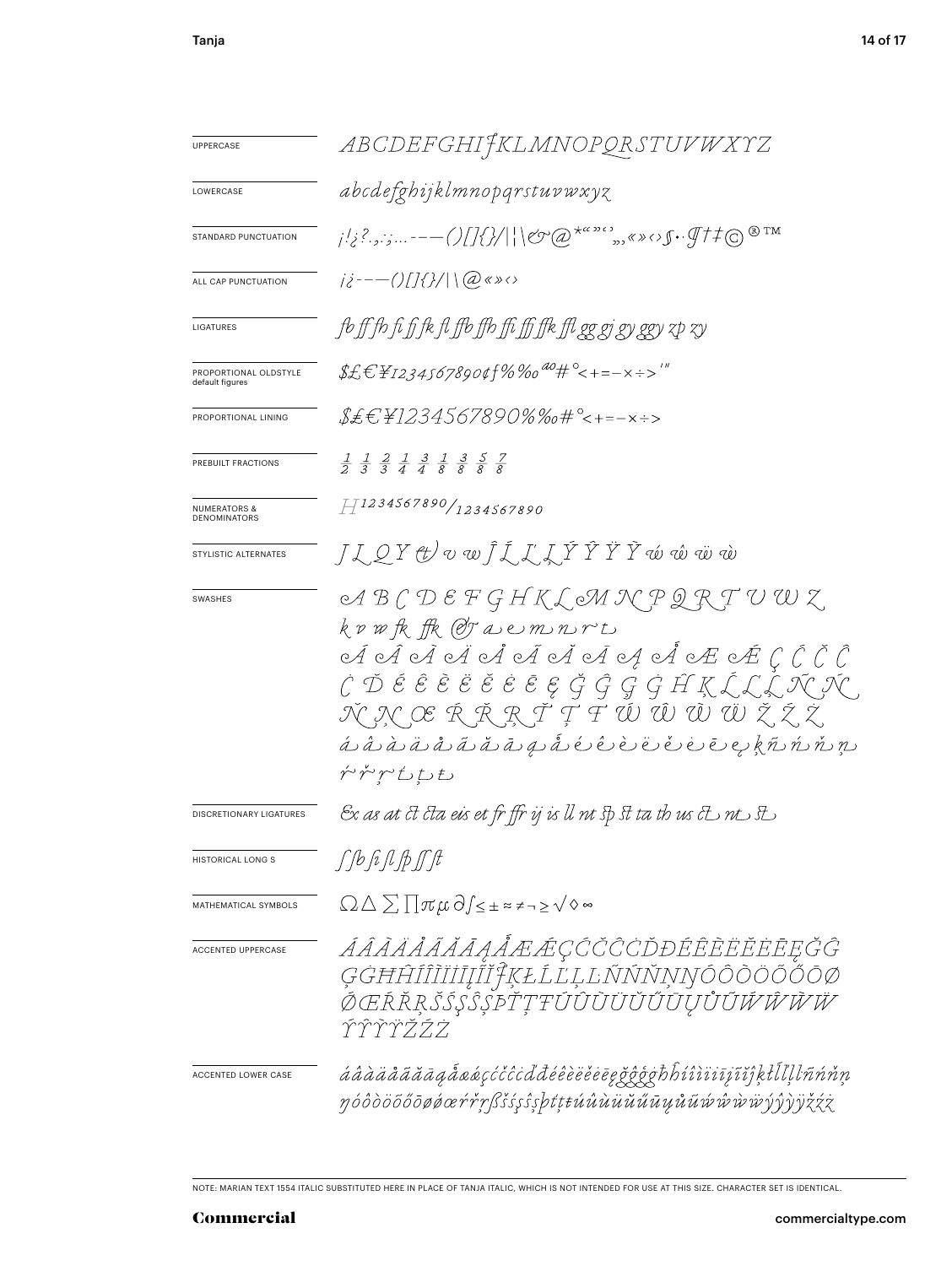| <b>UPPERCASE</b>                               | ABCDEFGHIJKLMNOPQRSTUVWXYZ                                                                                                                                                                                                                                                                                                                                                                                                                                                      |  |  |
|------------------------------------------------|---------------------------------------------------------------------------------------------------------------------------------------------------------------------------------------------------------------------------------------------------------------------------------------------------------------------------------------------------------------------------------------------------------------------------------------------------------------------------------|--|--|
| LOWERCASE                                      | abcdefghijklmnopqrstuvwxyz                                                                                                                                                                                                                                                                                                                                                                                                                                                      |  |  |
| STANDARD PUNCTUATION                           | $\frac{1}{2}$ ,  --- ()[]{}/  \&@\a^*",,(*)(\f+4@\mm                                                                                                                                                                                                                                                                                                                                                                                                                            |  |  |
| ALL CAP PUNCTUATION                            | $i\partial^2 - -O[1\partial^2]/\sqrt{2}$                                                                                                                                                                                                                                                                                                                                                                                                                                        |  |  |
| LIGATURES                                      | fb ff fb fi fi fk fl ffb ffb ffi ffj ffk ffl gg gj gy ggy zp zy                                                                                                                                                                                                                                                                                                                                                                                                                 |  |  |
| PROPORTIONAL OLDSTYLE<br>default figures       | $\text{\emph{f}t} \in \text{\emph{F12345678904f}\%}$ %0 $\text{\emph{a}o}_{\text{\emph{f}t}}$ $\text{\emph{c}-+=-x}\xrightarrow{1\, \text{m}}$                                                                                                                                                                                                                                                                                                                                  |  |  |
| PROPORTIONAL LINING                            | \$£€`¥1234567890%‰#°<+=-×÷>                                                                                                                                                                                                                                                                                                                                                                                                                                                     |  |  |
| PREBUILT FRACTIONS                             | $\frac{1}{2}$ $\frac{1}{3}$ $\frac{2}{3}$ $\frac{1}{4}$ $\frac{3}{4}$ $\frac{1}{8}$ $\frac{3}{8}$ $\frac{5}{8}$ $\frac{7}{8}$                                                                                                                                                                                                                                                                                                                                                   |  |  |
| <b>NUMERATORS &amp;</b><br><b>DENOMINATORS</b> | H1234567890/1234567890                                                                                                                                                                                                                                                                                                                                                                                                                                                          |  |  |
| STYLISTIC ALTERNATES                           | J I Q Y ⊕ v w Ĵ Ĺ Ľ Ľ Ý Ŷ Ÿ Ý oú oû oü où                                                                                                                                                                                                                                                                                                                                                                                                                                       |  |  |
| SWASHES                                        | ABCDEFGHKLMNPQRTUWZ<br>krwfk ffk @raemnrt<br>Á Á Á H H A A H A A A H E E C Č Č Ĉ<br>$\acute{C}$ $\acute{D}$ $\acute{e}$ $\acute{e}$ $\grave{e}$ $\acute{e}$ $\acute{e}$ $\acute{e}$ $\acute{e}$ $\acute{e}$ $\acute{G}$ $\acute{G}$ $\acute{G}$ $\acute{G}$ $\acute{H}$ $\acute{K}$ $\acute{L}$ $\acute{L}$ $\acute{L}$ $\acute{N}$ $\acute{N}$ $\acute{N}$ $\acute{N}$<br>ŇŅŒŔŘŖŤŢŦŰŴŴŴŽŹ,<br><u>á à à à ä å ã ă ă a g å é ê è ë ë ë e e k ñ ń ň n n </u><br>ŕ゚ゕ゚ <i>ヽ</i> ししも |  |  |
| DISCRETIONARY LIGATURES                        | Ex as at ct cta eis et fr ffr ij is ll nt sp st ta th us ct nt st                                                                                                                                                                                                                                                                                                                                                                                                               |  |  |
| <b>HISTORICAL LONG S</b>                       | r f b fî fî fî fî fî                                                                                                                                                                                                                                                                                                                                                                                                                                                            |  |  |
| MATHEMATICAL SYMBOLS                           | $\Omega \triangle \sum \prod \pi \mu \partial f \leq \pm \sum \neq \neg \geq \sqrt{\diamond} \sim$                                                                                                                                                                                                                                                                                                                                                                              |  |  |
| <b>ACCENTED UPPERCASE</b>                      | ÁÂĂĂÅĂĂĂĄÅÆÆÇĆČĈCĎĐÉÊÈËËËEĘĞĜ<br>ĢĠĦĤÍÎĨĬĬĬĬĬĬŶĶŁĹĽĻĿÑŃŇŅŊÓÔŎÖŐŐŌØ<br>ŎŒŔŘŖŠŚŞŜŞĎŤŢŦÚÛŨŨŬŰŨŲŮŨŴŴŴ<br>アアアアララフ                                                                                                                                                                                                                                                                                                                                                                    |  |  |
| ACCENTED LOWER CASE                            | áâàäåããāagẫaáçćčĉċďđéêèëĕēēgǧĝĝōħĥíîìiiījĩjkłllḷŀñńňṇ<br>ŋóôòöőőōøøœŕřŗßšśşŝşþtţŧúûùüŭűūųůũŵŵŵờờjŷŷyžźż                                                                                                                                                                                                                                                                                                                                                                         |  |  |

NOTE: MARIAN TEXT 1554 ITALIC SUBSTITUTED HERE IN PLACE OF TANJA ITALIC, WHICH IS NOT INTENDED FOR USE AT THIS SIZE. CHARACTER SET IS IDENTICAL.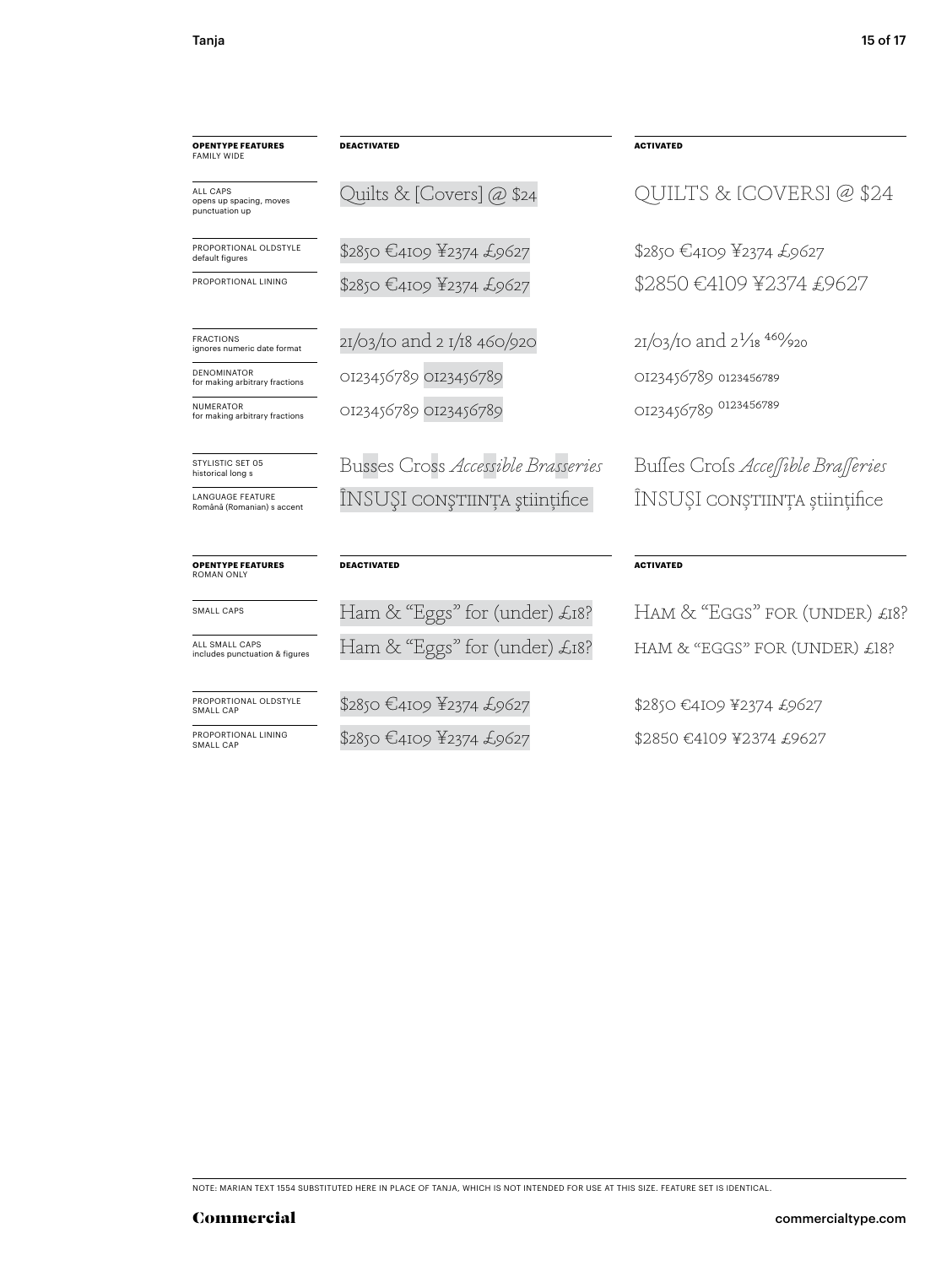| <b>OPENTYPE FEATURES</b><br><b>FAMILY WIDE</b>        | <b>DEACTIVATED</b>                 | <b>ACTIVATED</b>                   |
|-------------------------------------------------------|------------------------------------|------------------------------------|
| ALL CAPS<br>opens up spacing, moves<br>punctuation up | Quilts & [Covers] @ \$24           | QUILTS & [COVEF                    |
| PROPORTIONAL OLDSTYLE<br>default figures              | \$2850 €4109 ¥2374 £9627           | \$2850 €4109 ¥2374 £96             |
| PROPORTIONAL LINING                                   | \$2850 €4109 ¥2374 £9627           | \$2850 €4109 ¥2374                 |
| <b>FRACTIONS</b><br>ignores numeric date format       | 21/03/10 and 2 1/18 460/920        | $2I/03/10$ and $2^{1}/18^{46}/920$ |
| <b>DENOMINATOR</b><br>for making arbitrary fractions  | OI23456789 OI23456789              | OI23456789 0123456789              |
| <b>NUMERATOR</b><br>for making arbitrary fractions    | OI23456789 OI23456789              | OI23456789 0123456789              |
| STYLISTIC SFT 05<br>historical long s                 | Busses Cross Accessible Brasseries | Buffes Crofs Acceffible            |
| <b>LANGUAGE FEATURE</b><br>Română (Romanian) s accent | ÎNSUȘI conștiință științifice      | ÎNSUȘI conștiința                  |
| <b>OPENTYPE FEATURES</b><br>ROMAN ONLY                | <b>DEACTIVATED</b>                 | <b>ACTIVATED</b>                   |
| SMALL CAPS                                            | Ham & "Eggs" for (under) £18?      | Ham & "Eggs" for (                 |

ALL SMALL CAPS includes punctuation & figures

PROPORTIONAL OLDSTYLE SMALL CAP

PROPORTIONAL LINING SMALL CAP

\$2850 €4109 ¥2374 £9627

Ham & "Eggs" for (under) £18?

\$2850 €4109 ¥2374 £9627

# QUILTS & [COVERS] @ \$24

\$2850 €4109 ¥2374 £9627 2850 €4109 ¥2374 £9627

Busses Cross *Accessible Brasseries* Busses Cross *Accessible Brasseries* NSUŞI conştiința științifice

## **ACTIVATED**

Ham & "Eggs" for (under) £18? HAM & "EGGS" FOR (UNDER) £18?

\$2850 €4109 ¥2374 £9627 \$2850 €4109 ¥2374 £9627

NOTE: MARIAN TEXT 1554 SUBSTITUTED HERE IN PLACE OF TANJA, WHICH IS NOT INTENDED FOR USE AT THIS SIZE. FEATURE SET IS IDENTICAL.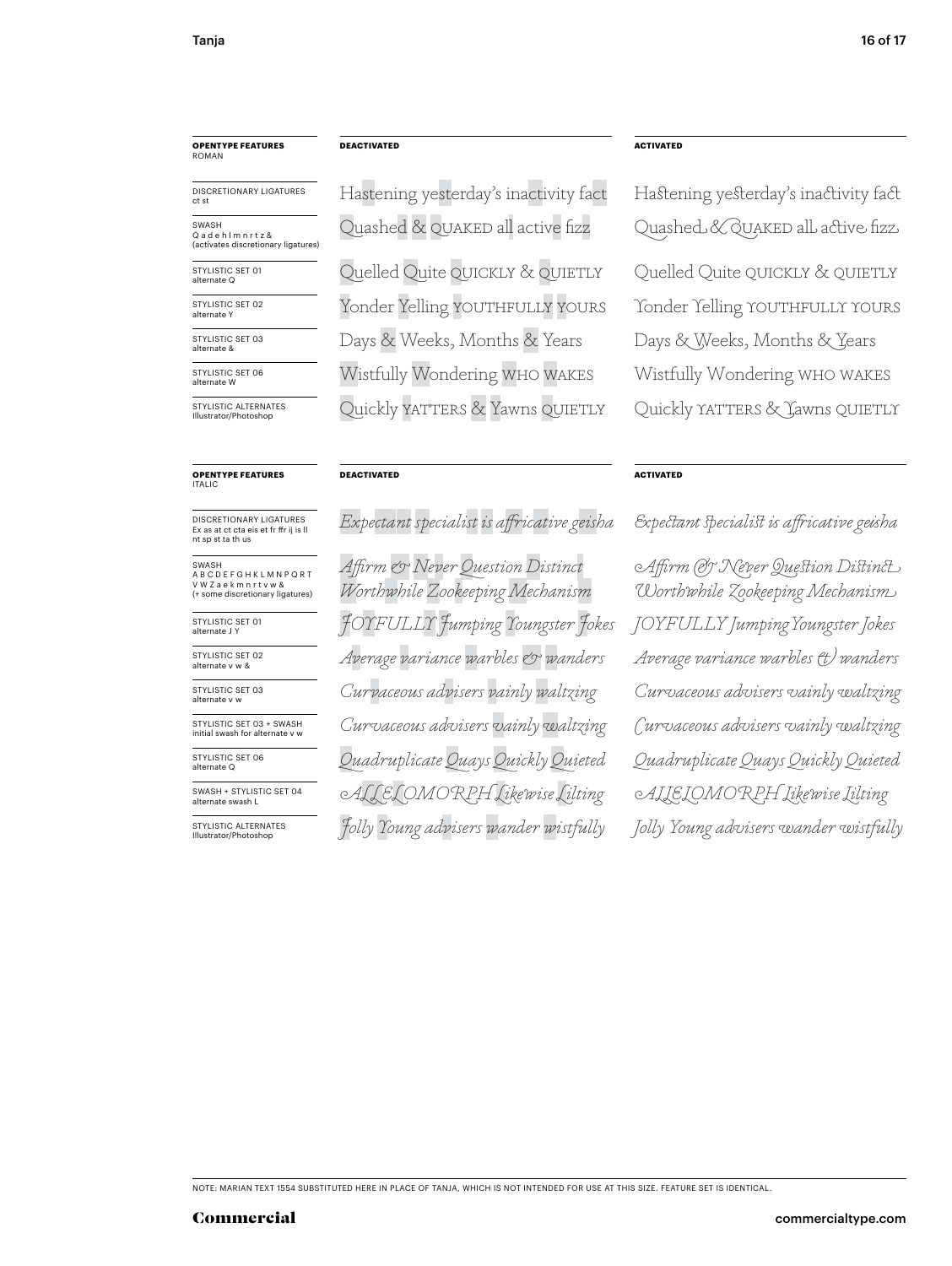# **OPENTYPE FEATURES** ROMAN

DISCRETIONARY LIGATURES

STYLISTIC SET 01 SWASH Q a d e h l m n r t z &<br>(activates discretionary ligatures)

alternate Q STYLISTIC SET 02

STYLISTIC SET 03

alternate Y

alternate &

STYLISTIC SET 06 alternate W

STYLISTIC ALTERNATES Illustrator/Photoshop

# **OPENTYPE FEATURES** ITALIC

DISCRETIONARY LIGATURES Ex as at ct cta eis et fr ffr ij is ll nt sp st ta th us

SWASH A B C D E F G H K L M N P Q R T V W Z a e k m n r t v w & (+ some discretionary ligatures)

STYLISTIC SET 01 alternate J Y

STYLISTIC SET 02 alternate v w &

STYLISTIC SET 03 alternate v w

STYLISTIC SET 03 + SWASH initial swash for alternate v v

STYLISTIC SET 06 alternate Q

SWASH + STYLISTIC SET 04 alternate swash L

STYLISTIC ALTERNATES Illustrator/Photoshop

Hastening yesterday's inactivity fact Hastening yesterday's inactivity fact

Days & Weeks, Months & Years Days & Weeks, Months & Years Wistfully Wondering who wakes Wistfully Wondering who wakes Quickly YATTERS & Yawns QUIETLY Quickly YATTERS & Jawns QUIETLY

### **DEACTIVATED ACTIVATED**

*JOYFULLY Jumping Youngster Jokes JOYFULLY JumpingYoungster Jokes Jolly Young advisers wander wistfully Jolly Young advisers wander wistfully Average variance warbles & wanders Curvaceous advisers vainly waltzing Curvaceous advisers vainly waltzing Quadruplicate Quays Quickly Quieted uadruplicate uays uickly uieted Affirm & Never Question Distinct Worthwhile Zookeeping Mechanism*

### **DEACTIVATED ACTIVATED**

Quelled Quite QUICKLY & QUIETLY Quelled Quite QUICKLY & QUIETLY Yonder Yelling YOUTHFULLY YOURS Yonder Yelling YOUTHFULLY YOURS Quashed & QUAKED all active fizz Quashed & QUAKED all active fizz

# *Expectant specialist is affricative geisha Expectant specialist is aiicative geisha*

*Curvaceous advisers vainly waltzing Curvaceous advisers vainly waltzing Average variance warbles & wanders ALLELOMORPH Likewise Lilting ALLELOMORPH Likewise Lilting Affirm & Never Question Distinct Worthwhile Zookeeping Mechanism*

NOTE: MARIAN TEXT 1554 SUBSTITUTED HERE IN PLACE OF TANJA, WHICH IS NOT INTENDED FOR USE AT THIS SIZE. FEATURE SET IS IDENTICAL.